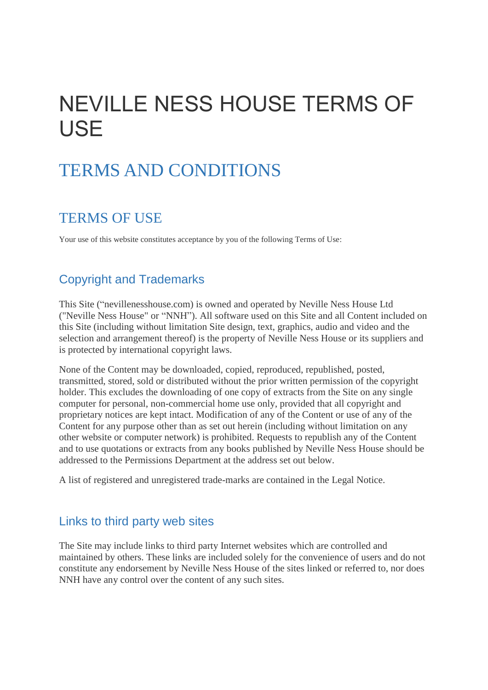# NEVILLE NESS HOUSE TERMS OF USE

## TERMS AND CONDITIONS

### TERMS OF USE

Your use of this website constitutes acceptance by you of the following Terms of Use:

#### Copyright and Trademarks

This Site ("nevillenesshouse.com) is owned and operated by Neville Ness House Ltd ("Neville Ness House" or "NNH"). All software used on this Site and all Content included on this Site (including without limitation Site design, text, graphics, audio and video and the selection and arrangement thereof) is the property of Neville Ness House or its suppliers and is protected by international copyright laws.

None of the Content may be downloaded, copied, reproduced, republished, posted, transmitted, stored, sold or distributed without the prior written permission of the copyright holder. This excludes the downloading of one copy of extracts from the Site on any single computer for personal, non-commercial home use only, provided that all copyright and proprietary notices are kept intact. Modification of any of the Content or use of any of the Content for any purpose other than as set out herein (including without limitation on any other website or computer network) is prohibited. Requests to republish any of the Content and to use quotations or extracts from any books published by Neville Ness House should be addressed to the Permissions Department at the address set out below.

A list of registered and unregistered trade-marks are contained in the Legal Notice.

#### Links to third party web sites

The Site may include links to third party Internet websites which are controlled and maintained by others. These links are included solely for the convenience of users and do not constitute any endorsement by Neville Ness House of the sites linked or referred to, nor does NNH have any control over the content of any such sites.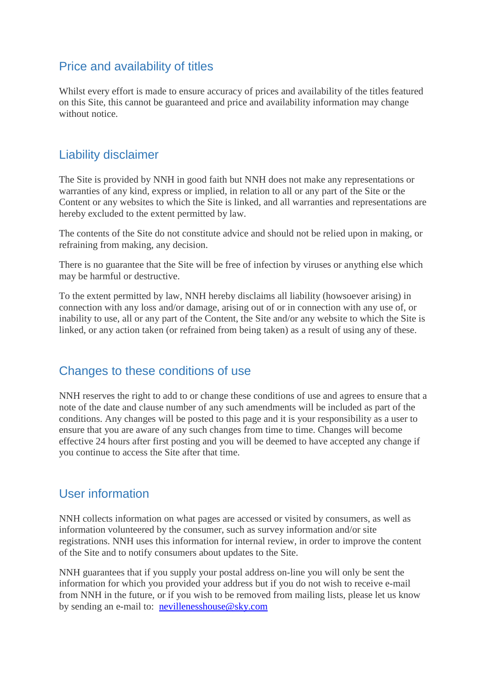#### Price and availability of titles

Whilst every effort is made to ensure accuracy of prices and availability of the titles featured on this Site, this cannot be guaranteed and price and availability information may change without notice.

#### Liability disclaimer

The Site is provided by NNH in good faith but NNH does not make any representations or warranties of any kind, express or implied, in relation to all or any part of the Site or the Content or any websites to which the Site is linked, and all warranties and representations are hereby excluded to the extent permitted by law.

The contents of the Site do not constitute advice and should not be relied upon in making, or refraining from making, any decision.

There is no guarantee that the Site will be free of infection by viruses or anything else which may be harmful or destructive.

To the extent permitted by law, NNH hereby disclaims all liability (howsoever arising) in connection with any loss and/or damage, arising out of or in connection with any use of, or inability to use, all or any part of the Content, the Site and/or any website to which the Site is linked, or any action taken (or refrained from being taken) as a result of using any of these.

#### Changes to these conditions of use

NNH reserves the right to add to or change these conditions of use and agrees to ensure that a note of the date and clause number of any such amendments will be included as part of the conditions. Any changes will be posted to this page and it is your responsibility as a user to ensure that you are aware of any such changes from time to time. Changes will become effective 24 hours after first posting and you will be deemed to have accepted any change if you continue to access the Site after that time.

#### User information

NNH collects information on what pages are accessed or visited by consumers, as well as information volunteered by the consumer, such as survey information and/or site registrations. NNH uses this information for internal review, in order to improve the content of the Site and to notify consumers about updates to the Site.

NNH guarantees that if you supply your postal address on-line you will only be sent the information for which you provided your address but if you do not wish to receive e-mail from NNH in the future, or if you wish to be removed from mailing lists, please let us know by sending an e-mail to: [nevillenesshouse@sky.com](mailto:nevillenesshouse@sky.com)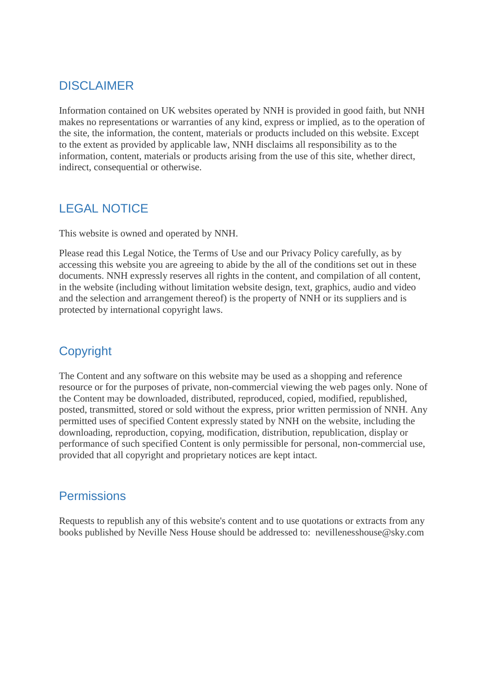#### **DISCLAIMER**

Information contained on UK websites operated by NNH is provided in good faith, but NNH makes no representations or warranties of any kind, express or implied, as to the operation of the site, the information, the content, materials or products included on this website. Except to the extent as provided by applicable law, NNH disclaims all responsibility as to the information, content, materials or products arising from the use of this site, whether direct, indirect, consequential or otherwise.

#### LEGAL NOTICE

This website is owned and operated by NNH.

Please read this Legal Notice, the Terms of Use and our Privacy Policy carefully, as by accessing this website you are agreeing to abide by the all of the conditions set out in these documents. NNH expressly reserves all rights in the content, and compilation of all content, in the website (including without limitation website design, text, graphics, audio and video and the selection and arrangement thereof) is the property of NNH or its suppliers and is protected by international copyright laws.

#### **Copyright**

The Content and any software on this website may be used as a shopping and reference resource or for the purposes of private, non-commercial viewing the web pages only. None of the Content may be downloaded, distributed, reproduced, copied, modified, republished, posted, transmitted, stored or sold without the express, prior written permission of NNH. Any permitted uses of specified Content expressly stated by NNH on the website, including the downloading, reproduction, copying, modification, distribution, republication, display or performance of such specified Content is only permissible for personal, non-commercial use, provided that all copyright and proprietary notices are kept intact.

#### **Permissions**

Requests to republish any of this website's content and to use quotations or extracts from any books published by Neville Ness House should be addressed to: nevillenesshouse@sky.com